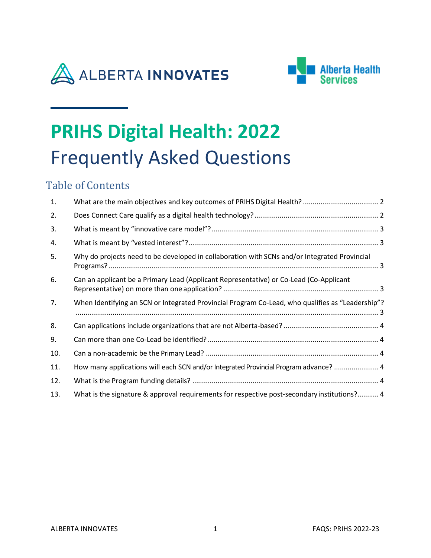



# **PRIHS Digital Health: 2022** Frequently Asked Questions

# Table of Contents

| 1.  |                                                                                                  |  |
|-----|--------------------------------------------------------------------------------------------------|--|
| 2.  |                                                                                                  |  |
| 3.  |                                                                                                  |  |
| 4.  |                                                                                                  |  |
| 5.  | Why do projects need to be developed in collaboration with SCNs and/or Integrated Provincial     |  |
| 6.  | Can an applicant be a Primary Lead (Applicant Representative) or Co-Lead (Co-Applicant           |  |
| 7.  | When Identifying an SCN or Integrated Provincial Program Co-Lead, who qualifies as "Leadership"? |  |
| 8.  |                                                                                                  |  |
| 9.  |                                                                                                  |  |
| 10. |                                                                                                  |  |
| 11. | How many applications will each SCN and/or Integrated Provincial Program advance?  4             |  |
| 12. |                                                                                                  |  |
| 13. | What is the signature & approval requirements for respective post-secondary institutions? 4      |  |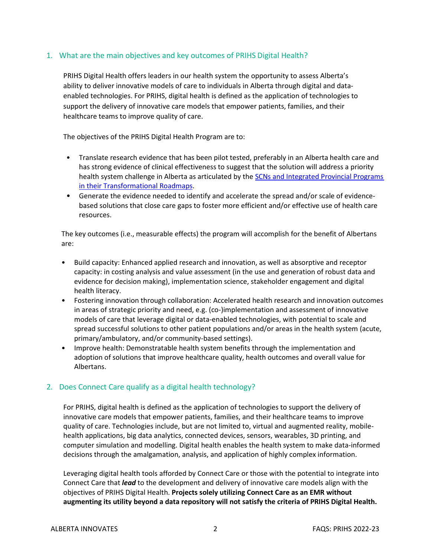# <span id="page-1-0"></span>1. What are the main objectives and key outcomes of PRIHS Digital Health?

PRIHS Digital Health offers leaders in our health system the opportunity to assess Alberta's ability to deliver innovative models of care to individuals in Alberta through digital and dataenabled technologies. For PRIHS, digital health is defined as the application of technologies to support the delivery of innovative care models that empower patients, families, and their healthcare teams to improve quality of care.

The objectives of the PRIHS Digital Health Program are to:

- Translate research evidence that has been pilot tested, preferably in an Alberta health care and has strong evidence of clinical effectiveness to suggest that the solution will address a priority health system challenge in Alberta as articulated by the SCNs and Integrated Provincial Programs [in their Transformational Roadmaps.](https://albertainnovates.ca/wp-content/uploads/2022/01/PRIHS-7-Digital-Health-SCN-TRM-Summaries-2022-01-24-jnp.pdf)
- Generate the evidence needed to identify and accelerate the spread and/or scale of evidencebased solutions that close care gaps to foster more efficient and/or effective use of health care resources.

The key outcomes (i.e., measurable effects) the program will accomplish for the benefit of Albertans are:

- Build capacity: Enhanced applied research and innovation, as well as absorptive and receptor capacity: in costing analysis and value assessment (in the use and generation of robust data and evidence for decision making), implementation science, stakeholder engagement and digital health literacy.
- Fostering innovation through collaboration: Accelerated health research and innovation outcomes in areas of strategic priority and need, e.g. (co-)implementation and assessment of innovative models of care that leverage digital or data-enabled technologies, with potential to scale and spread successful solutions to other patient populations and/or areas in the health system (acute, primary/ambulatory, and/or community-based settings).
- Improve health: Demonstratable health system benefits through the implementation and adoption of solutions that improve healthcare quality, health outcomes and overall value for Albertans.

# <span id="page-1-1"></span>2. Does Connect Care qualify as a digital health technology?

For PRIHS, digital health is defined as the application of technologies to support the delivery of innovative care models that empower patients, families, and their healthcare teams to improve quality of care. Technologies include, but are not limited to, virtual and augmented reality, mobilehealth applications, big data analytics, connected devices, sensors, wearables, 3D printing, and computer simulation and modelling. Digital health enables the health system to make data-informed decisions through the amalgamation, analysis, and application of highly complex information.

Leveraging digital health tools afforded by Connect Care or those with the potential to integrate into Connect Care that *lead* to the development and delivery of innovative care models align with the objectives of PRIHS Digital Health. **Projects solely utilizing Connect Care as an EMR without augmenting its utility beyond a data repository will not satisfy the criteria of PRIHS Digital Health.**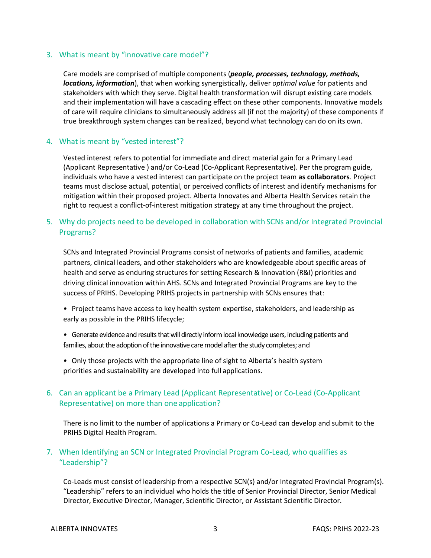#### <span id="page-2-0"></span>3. What is meant by "innovative care model"?

Care models are comprised of multiple components (*people, processes, technology, methods, locations, information*), that when working synergistically, deliver *optimal value* for patients and stakeholders with which they serve. Digital health transformation will disrupt existing care models and their implementation will have a cascading effect on these other components. Innovative models of care will require clinicians to simultaneously address all (if not the majority) of these components if true breakthrough system changes can be realized, beyond what technology can do on its own.

#### <span id="page-2-1"></span>4. What is meant by "vested interest"?

Vested interest refers to potential for immediate and direct material gain for a Primary Lead (Applicant Representative ) and/or Co-Lead (Co-Applicant Representative). Per the program guide, individuals who have a vested interest can participate on the project team **as collaborators**. Project teams must disclose actual, potential, or perceived conflicts of interest and identify mechanisms for mitigation within their proposed project. Alberta Innovates and Alberta Health Services retain the right to request a conflict-of-interest mitigation strategy at any time throughout the project.

# <span id="page-2-2"></span>5. Why do projects need to be developed in collaboration with SCNs and/or Integrated Provincial Programs?

SCNs and Integrated Provincial Programs consist of networks of patients and families, academic partners, clinical leaders, and other stakeholders who are knowledgeable about specific areas of health and serve as enduring structures for setting Research & Innovation (R&I) priorities and driving clinical innovation within AHS. SCNs and Integrated Provincial Programs are key to the success of PRIHS. Developing PRIHS projects in partnership with SCNs ensures that:

- Project teams have access to key health system expertise, stakeholders, and leadership as early as possible in the PRIHS lifecycle;
- Generate evidence and results that will directly inform local knowledge users, including patients and families, about the adoption of the innovative care model after the study completes; and
- Only those projects with the appropriate line of sight to Alberta's health system priorities and sustainability are developed into full applications.

# <span id="page-2-3"></span>6. Can an applicant be a Primary Lead (Applicant Representative) or Co-Lead (Co-Applicant Representative) on more than one application?

There is no limit to the number of applications a Primary or Co-Lead can develop and submit to the PRIHS Digital Health Program.

# <span id="page-2-4"></span>7. When Identifying an SCN or Integrated Provincial Program Co-Lead, who qualifies as "Leadership"?

Co-Leads must consist of leadership from a respective SCN(s) and/or Integrated Provincial Program(s). "Leadership" refers to an individual who holds the title of Senior Provincial Director, Senior Medical Director, Executive Director, Manager, Scientific Director, or Assistant Scientific Director.